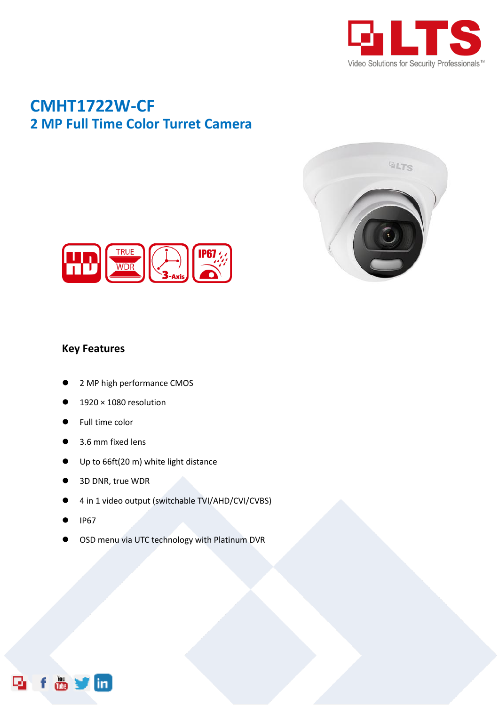

# **CMHT1722W-CF 2 MP Full Time Color Turret Camera**





### **Key Features**

- 2 MP high performance CMOS
- 1920 × 1080 resolution
- **•** Full time color
- 3.6 mm fixed lens
- Up to 66ft(20 m) white light distance
- 3D DNR, true WDR
- 4 in 1 video output (switchable TVI/AHD/CVI/CVBS)
- IP67

ō

OSD menu via UTC technology with Platinum DVR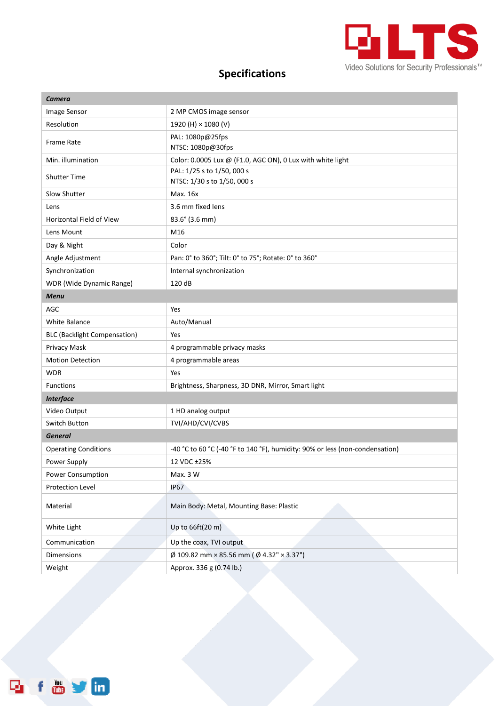

## **Specifications**

| Camera                              |                                                                              |
|-------------------------------------|------------------------------------------------------------------------------|
| Image Sensor                        | 2 MP CMOS image sensor                                                       |
| Resolution                          | 1920 (H) × 1080 (V)                                                          |
| <b>Frame Rate</b>                   | PAL: 1080p@25fps<br>NTSC: 1080p@30fps                                        |
| Min. illumination                   | Color: 0.0005 Lux @ (F1.0, AGC ON), 0 Lux with white light                   |
| <b>Shutter Time</b>                 | PAL: 1/25 s to 1/50, 000 s<br>NTSC: 1/30 s to 1/50, 000 s                    |
| Slow Shutter                        | Max. 16x                                                                     |
| Lens                                | 3.6 mm fixed lens                                                            |
| Horizontal Field of View            | $83.6^{\circ}$ (3.6 mm)                                                      |
| Lens Mount                          | M16                                                                          |
| Day & Night                         | Color                                                                        |
| Angle Adjustment                    | Pan: 0° to 360°; Tilt: 0° to 75°; Rotate: 0° to 360°                         |
| Synchronization                     | Internal synchronization                                                     |
| <b>WDR</b> (Wide Dynamic Range)     | 120 dB                                                                       |
| <b>Menu</b>                         |                                                                              |
| AGC                                 | Yes                                                                          |
| <b>White Balance</b>                | Auto/Manual                                                                  |
| <b>BLC (Backlight Compensation)</b> | Yes                                                                          |
| Privacy Mask                        | 4 programmable privacy masks                                                 |
| <b>Motion Detection</b>             | 4 programmable areas                                                         |
| <b>WDR</b>                          | Yes                                                                          |
| <b>Functions</b>                    | Brightness, Sharpness, 3D DNR, Mirror, Smart light                           |
| <b>Interface</b>                    |                                                                              |
| Video Output                        | 1 HD analog output                                                           |
| Switch Button                       | TVI/AHD/CVI/CVBS                                                             |
| <b>General</b>                      |                                                                              |
| <b>Operating Conditions</b>         | -40 °C to 60 °C (-40 °F to 140 °F), humidity: 90% or less (non-condensation) |
| Power Supply                        | 12 VDC ±25%                                                                  |
| Power Consumption                   | Max. 3 W                                                                     |
| Protection Level                    | <b>IP67</b>                                                                  |
| Material                            | Main Body: Metal, Mounting Base: Plastic                                     |
| White Light                         | Up to 66ft(20 m)                                                             |
| Communication                       | Up the coax, TVI output                                                      |
| Dimensions                          | $\varnothing$ 109.82 mm × 85.56 mm ( $\varnothing$ 4.32" × 3.37")            |
| Weight                              | Approx. 336 g (0.74 lb.)                                                     |

f & y in

D,